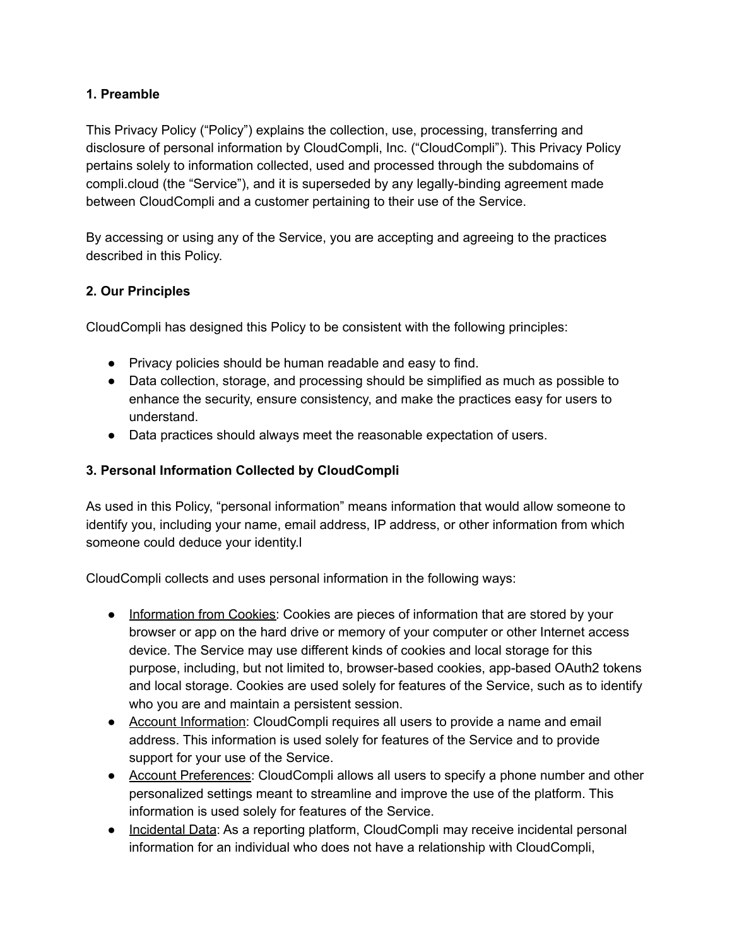#### **1. Preamble**

This Privacy Policy ("Policy") explains the collection, use, processing, transferring and disclosure of personal information by CloudCompli, Inc. ("CloudCompli"). This Privacy Policy pertains solely to information collected, used and processed through the subdomains of compli.cloud (the "Service"), and it is superseded by any legally-binding agreement made between CloudCompli and a customer pertaining to their use of the Service.

By accessing or using any of the Service, you are accepting and agreeing to the practices described in this Policy.

### **2. Our Principles**

CloudCompli has designed this Policy to be consistent with the following principles:

- Privacy policies should be human readable and easy to find.
- Data collection, storage, and processing should be simplified as much as possible to enhance the security, ensure consistency, and make the practices easy for users to understand.
- Data practices should always meet the reasonable expectation of users.

## **3. Personal Information Collected by CloudCompli**

As used in this Policy, "personal information" means information that would allow someone to identify you, including your name, email address, IP address, or other information from which someone could deduce your identity.l

CloudCompli collects and uses personal information in the following ways:

- Information from Cookies: Cookies are pieces of information that are stored by your browser or app on the hard drive or memory of your computer or other Internet access device. The Service may use different kinds of cookies and local storage for this purpose, including, but not limited to, browser-based cookies, app-based OAuth2 tokens and local storage. Cookies are used solely for features of the Service, such as to identify who you are and maintain a persistent session.
- Account Information: CloudCompli requires all users to provide a name and email address. This information is used solely for features of the Service and to provide support for your use of the Service.
- Account Preferences: CloudCompli allows all users to specify a phone number and other personalized settings meant to streamline and improve the use of the platform. This information is used solely for features of the Service.
- Incidental Data: As a reporting platform, CloudCompli may receive incidental personal information for an individual who does not have a relationship with CloudCompli,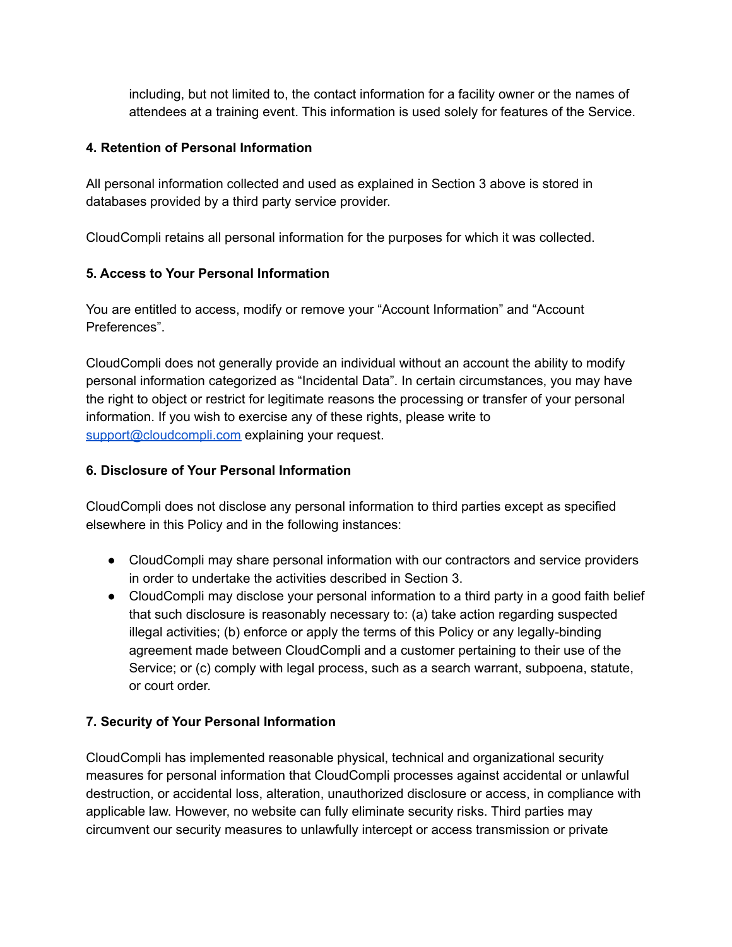including, but not limited to, the contact information for a facility owner or the names of attendees at a training event. This information is used solely for features of the Service.

#### **4. Retention of Personal Information**

All personal information collected and used as explained in Section 3 above is stored in databases provided by a third party service provider.

CloudCompli retains all personal information for the purposes for which it was collected.

# **5. Access to Your Personal Information**

You are entitled to access, modify or remove your "Account Information" and "Account Preferences".

CloudCompli does not generally provide an individual without an account the ability to modify personal information categorized as "Incidental Data". In certain circumstances, you may have the right to object or restrict for legitimate reasons the processing or transfer of your personal information. If you wish to exercise any of these rights, please write to [support@cloudcompli.com](mailto:support@cloudcompli.com) explaining your request.

### **6. Disclosure of Your Personal Information**

CloudCompli does not disclose any personal information to third parties except as specified elsewhere in this Policy and in the following instances:

- CloudCompli may share personal information with our contractors and service providers in order to undertake the activities described in Section 3.
- CloudCompli may disclose your personal information to a third party in a good faith belief that such disclosure is reasonably necessary to: (a) take action regarding suspected illegal activities; (b) enforce or apply the terms of this Policy or any legally-binding agreement made between CloudCompli and a customer pertaining to their use of the Service; or (c) comply with legal process, such as a search warrant, subpoena, statute, or court order.

# **7. Security of Your Personal Information**

CloudCompli has implemented reasonable physical, technical and organizational security measures for personal information that CloudCompli processes against accidental or unlawful destruction, or accidental loss, alteration, unauthorized disclosure or access, in compliance with applicable law. However, no website can fully eliminate security risks. Third parties may circumvent our security measures to unlawfully intercept or access transmission or private